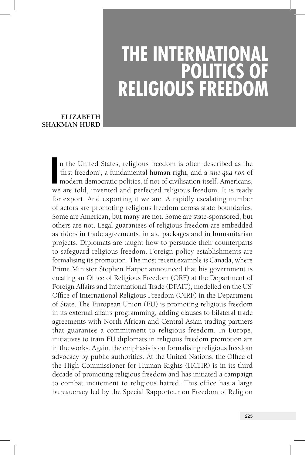# **THE INTERNATIONAL POLITICS O RELIGIOUS FREEDOM**

## **ELIZABETH SHAKMAN HURD**

In the United States, religious freedom is often described as the 'first freedom', a fundamental human right, and a sine qua non of modern democratic politics, if not of civilisation itself. Americans, we are told, invente n the United States, religious freedom is often described as the 'first freedom', a fundamental human right, and a *sine qua non* of modern democratic politics, if not of civilisation itself. Americans, for export. And exporting it we are. A rapidly escalating number of actors are promoting religious freedom across state boundaries. Some are American, but many are not. Some are state-sponsored, but others are not. Legal guarantees of religious freedom are embedded as riders in trade agreements, in aid packages and in humanitarian projects. Diplomats are taught how to persuade their counterparts to safeguard religious freedom. Foreign policy establishments are formalising its promotion. The most recent example is Canada, where Prime Minister Stephen Harper announced that his government is creating an Office of Religious Freedom (ORF) at the Department of Foreign Affairs and International Trade (DFAIT), modelled on the US' Office of International Religious Freedom (OIRF) in the Department of State. The European Union (EU) is promoting religious freedom in its external affairs programming, adding clauses to bilateral trade agreements with North African and Central Asian trading partners that guarantee a commitment to religious freedom. In Europe, initiatives to train EU diplomats in religious freedom promotion are in the works. Again, the emphasis is on formalising religious freedom advocacy by public authorities. At the United Nations, the Office of the High Commissioner for Human Rights (HCHR) is in its third decade of promoting religious freedom and has initiated a campaign to combat incitement to religious hatred. This office has a large bureaucracy led by the Special Rapporteur on Freedom of Religion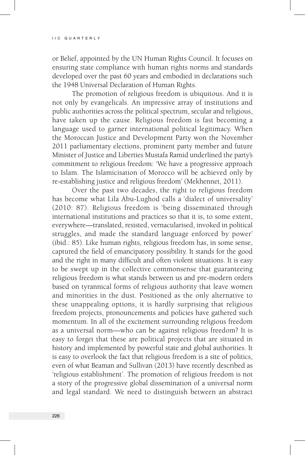or Belief, appointed by the UN Human Rights Council. It focuses on ensuring state compliance with human rights norms and standards developed over the past 60 years and embodied in declarations such the 1948 Universal Declaration of Human Rights.

The promotion of religious freedom is ubiquitous. And it is not only by evangelicals. An impressive array of institutions and public authorities across the political spectrum, secular and religious, have taken up the cause. Religious freedom is fast becoming a language used to garner international political legitimacy. When the Moroccan Justice and Development Party won the November 2011 parliamentary elections, prominent party member and future Minister of Justice and Liberties Mustafa Ramid underlined the party's commitment to religious freedom: 'We have a progressive approach to Islam. The Islamicisation of Morocco will be achieved only by re-establishing justice and religious freedom' (Mekhennet, 2011).

Over the past two decades, the right to religious freedom has become what Lila Abu-Lughod calls a 'dialect of universality' (2010: 87). Religious freedom is 'being disseminated through international institutions and practices so that it is, to some extent, everywhere—translated, resisted, vernacularised, invoked in political struggles, and made the standard language enforced by power' (ibid.: 85). Like human rights, religious freedom has, in some sense, captured the field of emancipatory possibility. It stands for the good and the right in many difficult and often violent situations. It is easy to be swept up in the collective commonsense that guaranteeing religious freedom is what stands between us and pre-modern orders based on tyrannical forms of religious authority that leave women and minorities in the dust. Positioned as the only alternative to these unappealing options, it is hardly surprising that religious freedom projects, pronouncements and policies have gathered such momentum. In all of the excitement surrounding religious freedom as a universal norm—who can be against religious freedom? It is easy to forget that these are political projects that are situated in history and implemented by powerful state and global authorities. It is easy to overlook the fact that religious freedom is a site of politics, even of what Beaman and Sullivan (2013) have recently described as 'religious establishment'. The promotion of religious freedom is not a story of the progressive global dissemination of a universal norm and legal standard. We need to distinguish between an abstract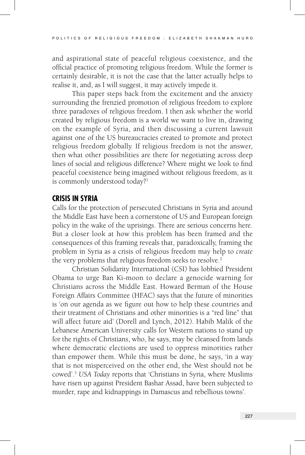and aspirational state of peaceful religious coexistence, and the official practice of promoting religious freedom. While the former is certainly desirable, it is not the case that the latter actually helps to realise it, and, as I will suggest, it may actively impede it.

This paper steps back from the excitement and the anxiety surrounding the frenzied promotion of religious freedom to explore three paradoxes of religious freedom. I then ask whether the world created by religious freedom is a world we want to live in, drawing on the example of Syria, and then discussing a current lawsuit against one of the US bureaucracies created to promote and protect religious freedom globally. If religious freedom is not the answer, then what other possibilities are there for negotiating across deep lines of social and religious difference? Where might we look to find peaceful coexistence being imagined without religious freedom, as it is commonly understood today?<sup>1</sup>

# **CRISIS IN SYRIA**

Calls for the protection of persecuted Christians in Syria and around the Middle East have been a cornerstone of US and European foreign policy in the wake of the uprisings. There are serious concerns here. But a closer look at how this problem has been framed and the consequences of this framing reveals that, paradoxically, framing the problem in Syria as a crisis of religious freedom may help to *create* the very problems that religious freedom seeks to resolve.<sup>2</sup>

Christian Solidarity International (CSI) has lobbied President Obama to urge Ban Ki-moon to declare a genocide warning for Christians across the Middle East. Howard Berman of the House Foreign Affairs Committee (HFAC) says that the future of minorities is 'on our agenda as we figure out how to help these countries and their treatment of Christians and other minorities is a "red line" that will affect future aid' (Dorell and Lynch, 2012). Habib Malik of the Lebanese American University calls for Western nations to stand up for the rights of Christians, who, he says, may be cleansed from lands where democratic elections are used to oppress minorities rather than empower them. While this must be done, he says, 'in a way that is not misperceived on the other end, the West should not be cowed'.3 *USA Today* reports that 'Christians in Syria, where Muslims have risen up against President Bashar Assad, have been subjected to murder, rape and kidnappings in Damascus and rebellious towns'.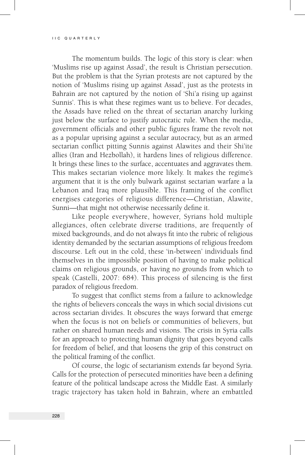The momentum builds. The logic of this story is clear: when 'Muslims rise up against Assad', the result is Christian persecution. But the problem is that the Syrian protests are not captured by the notion of 'Muslims rising up against Assad', just as the protests in Bahrain are not captured by the notion of 'Shi'a rising up against Sunnis'. This is what these regimes want us to believe. For decades, the Assads have relied on the threat of sectarian anarchy lurking just below the surface to justify autocratic rule. When the media, government officials and other public figures frame the revolt not as a popular uprising against a secular autocracy, but as an armed sectarian conflict pitting Sunnis against Alawites and their Shi'ite allies (Iran and Hezbollah), it hardens lines of religious difference. It brings these lines to the surface, accentuates and aggravates them. This makes sectarian violence more likely. It makes the regime's argument that it is the only bulwark against sectarian warfare a la Lebanon and Iraq more plausible. This framing of the conflict energises categories of religious difference—Christian, Alawite, Sunni—that might not otherwise necessarily define it.

Like people everywhere, however, Syrians hold multiple allegiances, often celebrate diverse traditions, are frequently of mixed backgrounds, and do not always fit into the rubric of religious identity demanded by the sectarian assumptions of religious freedom discourse. Left out in the cold, these 'in-between' individuals find themselves in the impossible position of having to make political claims on religious grounds, or having no grounds from which to speak (Castelli, 2007: 684). This process of silencing is the first paradox of religious freedom.

To suggest that conflict stems from a failure to acknowledge the rights of believers conceals the ways in which social divisions cut across sectarian divides. It obscures the ways forward that emerge when the focus is not on beliefs or communities of believers, but rather on shared human needs and visions. The crisis in Syria calls for an approach to protecting human dignity that goes beyond calls for freedom of belief, and that loosens the grip of this construct on the political framing of the conflict.

Of course, the logic of sectarianism extends far beyond Syria. Calls for the protection of persecuted minorities have been a defining feature of the political landscape across the Middle East. A similarly tragic trajectory has taken hold in Bahrain, where an embattled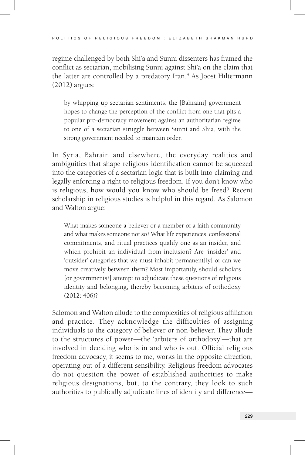regime challenged by both Shi'a and Sunni dissenters has framed the conflict as sectarian, mobilising Sunni against Shi'a on the claim that the latter are controlled by a predatory Iran.<sup>4</sup> As Joost Hiltermann (2012) argues:

by whipping up sectarian sentiments, the [Bahraini] government hopes to change the perception of the conflict from one that pits a popular pro-democracy movement against an authoritarian regime to one of a sectarian struggle between Sunni and Shia, with the strong government needed to maintain order.

In Syria, Bahrain and elsewhere, the everyday realities and ambiguities that shape religious identification cannot be squeezed into the categories of a sectarian logic that is built into claiming and legally enforcing a right to religious freedom. If you don't know who is religious, how would you know who should be freed? Recent scholarship in religious studies is helpful in this regard. As Salomon and Walton argue:

What makes someone a believer or a member of a faith community and what makes someone not so? What life experiences, confessional commitments, and ritual practices qualify one as an insider, and which prohibit an individual from inclusion? Are 'insider' and 'outsider' categories that we must inhabit permanent[ly] or can we move creatively between them? Most importantly, should scholars [or governments?] attempt to adjudicate these questions of religious identity and belonging, thereby becoming arbiters of orthodoxy (2012: 406)?

Salomon and Walton allude to the complexities of religious affiliation and practice. They acknowledge the difficulties of assigning individuals to the category of believer or non-believer. They allude to the structures of power—the 'arbiters of orthodoxy'—that are involved in deciding who is in and who is out. Official religious freedom advocacy, it seems to me, works in the opposite direction, operating out of a different sensibility. Religious freedom advocates do not question the power of established authorities to make religious designations, but, to the contrary, they look to such authorities to publically adjudicate lines of identity and difference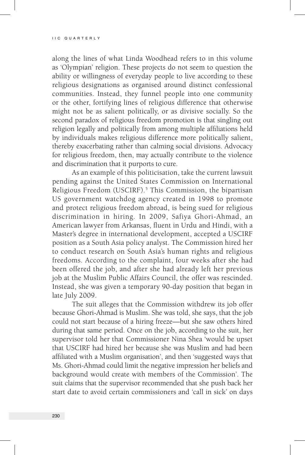along the lines of what Linda Woodhead refers to in this volume as 'Olympian' religion. These projects do not seem to question the ability or willingness of everyday people to live according to these religious designations as organised around distinct confessional communities. Instead, they funnel people into one community or the other, fortifying lines of religious difference that otherwise might not be as salient politically, or as divisive socially. So the second paradox of religious freedom promotion is that singling out religion legally and politically from among multiple affiliations held by individuals makes religious difference more politically salient, thereby exacerbating rather than calming social divisions. Advocacy for religious freedom, then, may actually contribute to the violence and discrimination that it purports to cure.

As an example of this politicisation, take the current lawsuit pending against the United States Commission on International Religious Freedom (USCIRF).<sup>5</sup> This Commission, the bipartisan US government watchdog agency created in 1998 to promote and protect religious freedom abroad, is being sued for religious discrimination in hiring. In 2009, Safiya Ghori-Ahmad, an American lawyer from Arkansas, fluent in Urdu and Hindi, with a Master's degree in international development, accepted a USCIRF position as a South Asia policy analyst. The Commission hired her to conduct research on South Asia's human rights and religious freedoms. According to the complaint, four weeks after she had been offered the job, and after she had already left her previous job at the Muslim Public Affairs Council, the offer was rescinded. Instead, she was given a temporary 90-day position that began in late July 2009.

The suit alleges that the Commission withdrew its job offer because Ghori-Ahmad is Muslim. She was told, she says, that the job could not start because of a hiring freeze—but she saw others hired during that same period. Once on the job, according to the suit, her supervisor told her that Commissioner Nina Shea 'would be upset that USCIRF had hired her because she was Muslim and had been affiliated with a Muslim organisation', and then 'suggested ways that Ms. Ghori-Ahmad could limit the negative impression her beliefs and background would create with members of the Commission'. The suit claims that the supervisor recommended that she push back her start date to avoid certain commissioners and 'call in sick' on days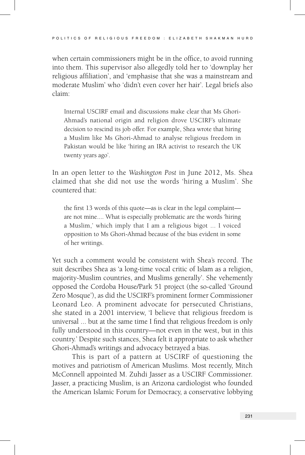when certain commissioners might be in the office, to avoid running into them. This supervisor also allegedly told her to 'downplay her religious affiliation', and 'emphasise that she was a mainstream and moderate Muslim' who 'didn't even cover her hair'. Legal briefs also claim:

Internal USCIRF email and discussions make clear that Ms Ghori-Ahmad's national origin and religion drove USCIRF's ultimate decision to rescind its job offer. For example, Shea wrote that hiring a Muslim like Ms Ghori-Ahmad to analyse religious freedom in Pakistan would be like 'hiring an IRA activist to research the UK twenty years ago'.

In an open letter to the *Washington Post* in June 2012, Ms. Shea claimed that she did not use the words 'hiring a Muslim'. She countered that:

the first 13 words of this quote—as is clear in the legal complaint are not mine.... What is especially problematic are the words 'hiring a Muslim,' which imply that I am a religious bigot ... I voiced opposition to Ms Ghori-Ahmad because of the bias evident in some of her writings.

Yet such a comment would be consistent with Shea's record. The suit describes Shea as 'a long-time vocal critic of Islam as a religion, majority-Muslim countries, and Muslims generally'. She vehemently opposed the Cordoba House/Park 51 project (the so-called 'Ground Zero Mosque'), as did the USCIRF's prominent former Commissioner Leonard Leo. A prominent advocate for persecuted Christians, she stated in a 2001 interview, 'I believe that religious freedom is universal ... but at the same time I find that religious freedom is only fully understood in this country—not even in the west, but in this country.' Despite such stances, Shea felt it appropriate to ask whether Ghori-Ahmad's writings and advocacy betrayed a bias.

This is part of a pattern at USCIRF of questioning the motives and patriotism of American Muslims. Most recently, Mitch McConnell appointed M. Zuhdi Jasser as a USCIRF Commissioner. Jasser, a practicing Muslim, is an Arizona cardiologist who founded the American Islamic Forum for Democracy, a conservative lobbying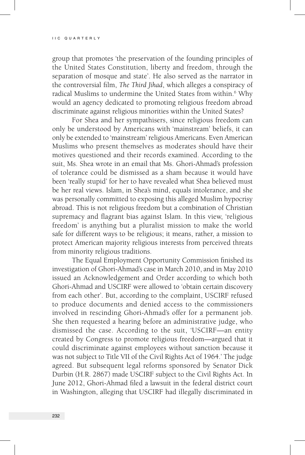group that promotes 'the preservation of the founding principles of the United States Constitution, liberty and freedom, through the separation of mosque and state'. He also served as the narrator in the controversial film, *The Third Jihad*, which alleges a conspiracy of radical Muslims to undermine the United States from within.<sup>6</sup> Why would an agency dedicated to promoting religious freedom abroad discriminate against religious minorities within the United States?

For Shea and her sympathisers, since religious freedom can only be understood by Americans with 'mainstream' beliefs, it can only be extended to 'mainstream' religious Americans. Even American Muslims who present themselves as moderates should have their motives questioned and their records examined. According to the suit, Ms. Shea wrote in an email that Ms. Ghori-Ahmad's profession of tolerance could be dismissed as a sham because it would have been 'really stupid' for her to have revealed what Shea believed must be her real views. Islam, in Shea's mind, equals intolerance, and she was personally committed to exposing this alleged Muslim hypocrisy abroad. This is not religious freedom but a combination of Christian supremacy and flagrant bias against Islam. In this view, 'religious freedom' is anything but a pluralist mission to make the world safe for different ways to be religious; it means, rather, a mission to protect American majority religious interests from perceived threats from minority religious traditions.

The Equal Employment Opportunity Commission finished its investigation of Ghori-Ahmad's case in March 2010, and in May 2010 issued an Acknowledgement and Order according to which both Ghori-Ahmad and USCIRF were allowed to 'obtain certain discovery from each other'. But, according to the complaint, USCIRF refused to produce documents and denied access to the commissioners involved in rescinding Ghori-Ahmad's offer for a permanent job. She then requested a hearing before an administrative judge, who dismissed the case. According to the suit, 'USCIRF—an entity created by Congress to promote religious freedom—argued that it could discriminate against employees without sanction because it was not subject to Title VII of the Civil Rights Act of 1964.' The judge agreed. But subsequent legal reforms sponsored by Senator Dick Durbin (H.R. 2867) made USCIRF subject to the Civil Rights Act. In June 2012, Ghori-Ahmad filed a lawsuit in the federal district court in Washington, alleging that USCIRF had illegally discriminated in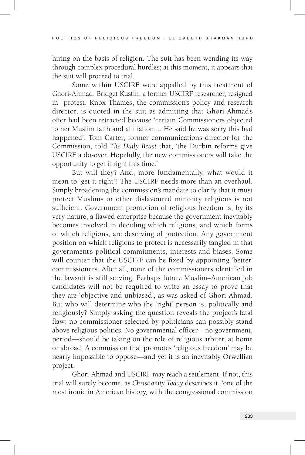hiring on the basis of religion. The suit has been wending its way through complex procedural hurdles; at this moment, it appears that the suit will proceed to trial.

Some within USCIRF were appalled by this treatment of Ghori-Ahmad. Bridget Kustin, a former USCIRF researcher, resigned in protest. Knox Thames, the commission's policy and research director, is quoted in the suit as admitting that Ghori-Ahmad's offer had been retracted because 'certain Commissioners objected to her Muslim faith and affiliation.... He said he was sorry this had happened'. Tom Carter, former communications director for the Commission, told *The Daily Beast* that, 'the Durbin reforms give USCIRF a do-over. Hopefully, the new commissioners will take the opportunity to get it right this time.'

But will they? And, more fundamentally, what would it mean to 'get it right'? The USCIRF needs more than an overhaul. Simply broadening the commission's mandate to clarify that it must protect Muslims or other disfavoured minority religions is not sufficient. Government promotion of religious freedom is, by its very nature, a flawed enterprise because the government inevitably becomes involved in deciding which religions, and which forms of which religions, are deserving of protection. Any government position on which religions to protect is necessarily tangled in that government's political commitments, interests and biases. Some will counter that the USCIRF can be fixed by appointing 'better' commissioners. After all, none of the commissioners identified in the lawsuit is still serving. Perhaps future Muslim–American job candidates will not be required to write an essay to prove that they are 'objective and unbiased', as was asked of Ghori-Ahmad. But who will determine who the 'right' person is, politically and religiously? Simply asking the question reveals the project's fatal flaw: no commissioner selected by politicians can possibly stand above religious politics. No governmental officer-no government, period—should be taking on the role of religious arbiter, at home or abroad. A commission that promotes 'religious freedom' may be nearly impossible to oppose—and yet it is an inevitably Orwellian project.

Ghori-Ahmad and USCIRF may reach a settlement. If not, this trial will surely become, as *Christianity Today* describes it, 'one of the most ironic in American history, with the congressional commission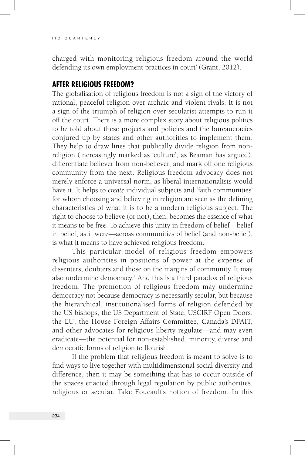charged with monitoring religious freedom around the world defending its own employment practices in court' (Grant, 2012).

# **AFTER RELIGIOUS FREEDOM?**

The globalisation of religious freedom is not a sign of the victory of rational, peaceful religion over archaic and violent rivals. It is not a sign of the triumph of religion over secularist attempts to run it off the court. There is a more complex story about religious politics to be told about these projects and policies and the bureaucracies conjured up by states and other authorities to implement them. They help to draw lines that publically divide religion from nonreligion (increasingly marked as 'culture', as Beaman has argued), differentiate believer from non-believer, and mark off one religious community from the next. Religious freedom advocacy does not merely enforce a universal norm, as liberal internationalists would have it. It helps to *create* individual subjects and 'faith communities' for whom choosing and believing in religion are seen as the defining characteristics of what it is to be a modern religious subject. The right to choose to believe (or not), then, becomes the essence of what it means to be free. To achieve this unity in freedom of belief—belief in belief, as it were—across communities of belief (and non-belief), is what it means to have achieved religious freedom.

This particular model of religious freedom empowers religious authorities in positions of power at the expense of dissenters, doubters and those on the margins of community. It may also undermine democracy.<sup>7</sup> And this is a third paradox of religious freedom. The promotion of religious freedom may undermine democracy not because democracy is necessarily secular, but because the hierarchical, institutionalised forms of religion defended by the US bishops, the US Department of State, USCIRF Open Doors, the EU, the House Foreign Affairs Committee, Canada's DFAIT, and other advocates for religious liberty regulate—and may even eradicate—the potential for non-established, minority, diverse and democratic forms of religion to flourish.

If the problem that religious freedom is meant to solve is to find ways to live together with multidimensional social diversity and difference, then it may be something that has to occur outside of the spaces enacted through legal regulation by public authorities, religious or secular. Take Foucault's notion of freedom. In this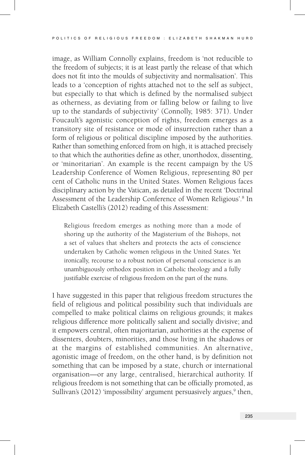image, as William Connolly explains, freedom is 'not reducible to the freedom of subjects; it is at least partly the release of that which does not fit into the moulds of subjectivity and normalisation'. This leads to a 'conception of rights attached not to the self as subject, but especially to that which is defined by the normalised subject as otherness, as deviating from or falling below or failing to live up to the standards of subjectivity' (Connolly, 1985: 371). Under Foucault's agonistic conception of rights, freedom emerges as a transitory site of resistance or mode of insurrection rather than a form of religious or political discipline imposed by the authorities. Rather than something enforced from on high, it is attached precisely to that which the authorities define as other, unorthodox, dissenting, or 'minoritarian'. An example is the recent campaign by the US Leadership Conference of Women Religious, representing 80 per cent of Catholic nuns in the United States. Women Religious faces disciplinary action by the Vatican, as detailed in the recent 'Doctrinal Assessment of the Leadership Conference of Women Religious'.<sup>8</sup> In Elizabeth Castelli's (2012) reading of this Assessment:

Religious freedom emerges as nothing more than a mode of shoring up the authority of the Magisterium of the Bishops, not a set of values that shelters and protects the acts of conscience undertaken by Catholic women religious in the United States. Yet ironically, recourse to a robust notion of personal conscience is an unambiguously orthodox position in Catholic theology and a fully justifiable exercise of religious freedom on the part of the nuns.

I have suggested in this paper that religious freedom structures the field of religious and political possibility such that individuals are compelled to make political claims on religious grounds; it makes religious difference more politically salient and socially divisive; and it empowers central, often majoritarian, authorities at the expense of dissenters, doubters, minorities, and those living in the shadows or at the margins of established communities. An alternative, agonistic image of freedom, on the other hand, is by definition not something that can be imposed by a state, church or international organisation—or any large, centralised, hierarchical authority. If religious freedom is not something that can be officially promoted, as Sullivan's (2012) 'impossibility' argument persuasively argues,<sup>9</sup> then,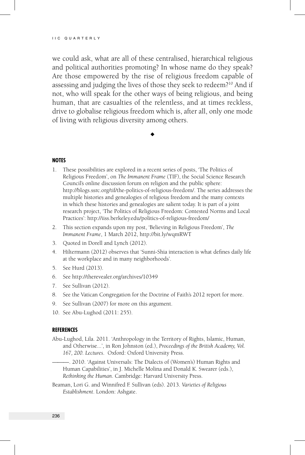we could ask, what are all of these centralised, hierarchical religious and political authorities promoting? In whose name do they speak? Are those empowered by the rise of religious freedom capable of assessing and judging the lives of those they seek to redeem?10 And if not, who will speak for the other ways of being religious, and being human, that are casualties of the relentless, and at times reckless, drive to globalise religious freedom which is, after all, only one mode of living with religious diversity among others.

### **NOTES**

- 1. These possibilities are explored in a recent series of posts, 'The Politics of Religious Freedom', on *The Immanent Frame* (TIF), the Social Science Research Council's online discussion forum on religion and the public sphere: http://blogs.ssrc.org/tif/the-politics-of-religious-freedom/. The series addresses the multiple histories and genealogies of religious freedom and the many contexts in which these histories and genealogies are salient today. It is part of a joint research project, 'The Politics of Religious Freedom: Contested Norms and Local Practices': http://iiss.berkeley.edu/politics-of-religious-freedom/
- 2. This section expands upon my post, 'Believing in Religious Freedom', *The Immanent Frame*, 1 March 2012, http://bit.ly/wqmRWT
- 3. Quoted in Dorell and Lynch (2012).
- 4. Hiltermann (2012) observes that 'Sunni-Shia interaction is what defines daily life at the workplace and in many neighborhoods'.
- 5. See Hurd (2013).
- 6. See http://therevealer.org/archives/10349
- 7. See Sullivan (2012).
- 8. See the Vatican Congregation for the Doctrine of Faith's 2012 report for more.
- 9. See Sullivan (2007) for more on this argument.
- 10. See Abu-Lughod (2011: 255).

#### **REFERENCES**

- Abu-Lughod, Lila. 2011. 'Anthropology in the Territory of Rights, Islamic, Human, and Otherwise...', in Ron Johnston (ed.), *Proceedings of the British Academy, Vol. 167, 200. Lectures*. Oxford: Oxford University Press.
	- ———. 2010. 'Against Universals: The Dialects of (Women's) Human Rights and Human Capabilities', in J. Michelle Molina and Donald K. Swearer (eds.), *Rethinking the Human*. Cambridge: Harvard University Press.
- Beaman, Lori G. and Winnifred F. Sullivan (eds). 2013. *Varieties of Religious Establishment*. London: Ashgate.